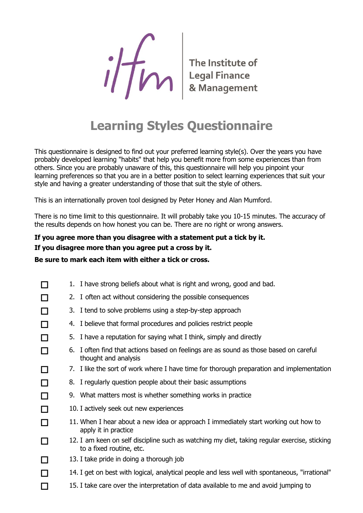

# **Learning Styles Questionnaire**

This questionnaire is designed to find out your preferred learning style(s). Over the years you have probably developed learning "habits" that help you benefit more from some experiences than from others. Since you are probably unaware of this, this questionnaire will help you pinpoint your learning preferences so that you are in a better position to select learning experiences that suit your style and having a greater understanding of those that suit the style of others.

This is an internationally proven tool designed by Peter Honey and Alan Mumford.

There is no time limit to this questionnaire. It will probably take you 10-15 minutes. The accuracy of the results depends on how honest you can be. There are no right or wrong answers.

## **If you agree more than you disagree with a statement put a tick by it.**

## **If you disagree more than you agree put a cross by it.**

## **Be sure to mark each item with either a tick or cross.**

- $\Box$  1. I have strong beliefs about what is right and wrong, good and bad.
- $\Box$  2. I often act without considering the possible consequences
- $\Box$  3. I tend to solve problems using a step-by-step approach
- $\Box$  4. I believe that formal procedures and policies restrict people
- $\Box$  5. I have a reputation for saying what I think, simply and directly
- $\Box$  6. I often find that actions based on feelings are as sound as those based on careful thought and analysis
- $\Box$  7. I like the sort of work where I have time for thorough preparation and implementation
- $\Box$  8. I regularly question people about their basic assumptions
- $\Box$  9. What matters most is whether something works in practice
- $\Box$  10. I actively seek out new experiences
- $\Box$  11. When I hear about a new idea or approach I immediately start working out how to apply it in practice
- $\Box$  12. I am keen on self discipline such as watching my diet, taking regular exercise, sticking to a fixed routine, etc.
- $\Box$  13. I take pride in doing a thorough job
- $\Box$  14. I get on best with logical, analytical people and less well with spontaneous, "irrational"
- $\Box$  15. I take care over the interpretation of data available to me and avoid jumping to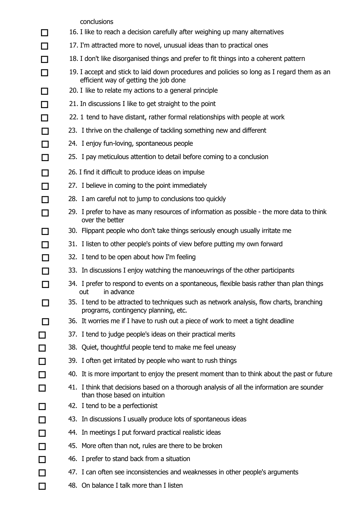conclusions

- $\Box$  16. I like to reach a decision carefully after weighing up many alternatives
- $\Box$  17. I'm attracted more to novel, unusual ideas than to practical ones
- $\Box$  18. I don't like disorganised things and prefer to fit things into a coherent pattern
- $\Box$  19. I accept and stick to laid down procedures and policies so long as I regard them as an efficient way of getting the job done
- $\Box$  20. I like to relate my actions to a general principle
- $\Box$  21. In discussions I like to get straight to the point
- $\square$  22. 1 tend to have distant, rather formal relationships with people at work
- $\Box$  23. I thrive on the challenge of tackling something new and different
- $\Box$  24. I enjoy fun-loving, spontaneous people
- $\Box$  25. I pay meticulous attention to detail before coming to a conclusion
- $\Box$  26. I find it difficult to produce ideas on impulse
- $\Box$  27. I believe in coming to the point immediately
- $\Box$  28. I am careful not to jump to conclusions too quickly
- $\Box$  29. I prefer to have as many resources of information as possible the more data to think over the better
- $\Box$  30. Flippant people who don't take things seriously enough usually irritate me
- $\Box$  31. I listen to other people's points of view before putting my own forward
- $\Box$  32. I tend to be open about how I'm feeling
- $\Box$  33. In discussions I enjoy watching the manoeuvrings of the other participants
- $\Box$  34. I prefer to respond to events on a spontaneous, flexible basis rather than plan things out in advance in advance
- $\square$  35. I tend to be attracted to techniques such as network analysis, flow charts, branching programs, contingency planning, etc.
- $\Box$  36. It worries me if I have to rush out a piece of work to meet a tight deadline
- $\Box$  37. I tend to judge people's ideas on their practical merits
- $\Box$  38. Quiet, thoughtful people tend to make me feel uneasy
- $\square$  39. I often get irritated by people who want to rush things
- $\Box$  40. It is more important to enjoy the present moment than to think about the past or future
- $\Box$  41. I think that decisions based on a thorough analysis of all the information are sounder than those based on intuition
- $\Box$  42. I tend to be a perfectionist
- $\Box$  43. In discussions I usually produce lots of spontaneous ideas
- $\Box$  44. In meetings I put forward practical realistic ideas
- $\Box$  45. More often than not, rules are there to be broken
- $\Box$  46. I prefer to stand back from a situation
- $\Box$  47. I can often see inconsistencies and weaknesses in other people's arguments
- $\Box$  48. On balance I talk more than I listen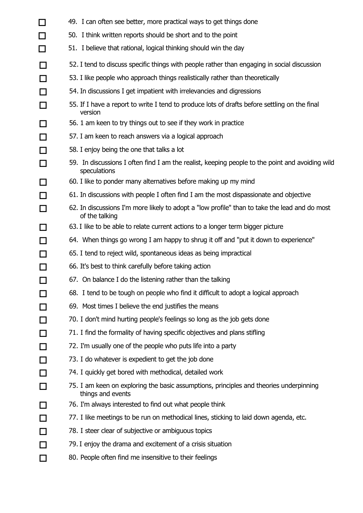- $\Box$  49. I can often see better, more practical ways to get things done
- $\Box$  50. I think written reports should be short and to the point
- $\Box$  51. I believe that rational, logical thinking should win the day
- $\Box$  52. I tend to discuss specific things with people rather than engaging in social discussion
- $\Box$  53. I like people who approach things realistically rather than theoretically
- $\Box$  54. In discussions I get impatient with irrelevancies and digressions
- $\Box$  55. If I have a report to write I tend to produce lots of drafts before settling on the final version
- $\Box$  56. 1 am keen to try things out to see if they work in practice
- $\Box$  57. I am keen to reach answers via a logical approach
- $\Box$  58. I enjoy being the one that talks a lot
- $\Box$  59. In discussions I often find I am the realist, keeping people to the point and avoiding wild speculations
- $\Box$  60. I like to ponder many alternatives before making up my mind
- $\Box$  61. In discussions with people I often find I am the most dispassionate and objective
- $\Box$  62. In discussions I'm more likely to adopt a "low profile" than to take the lead and do most of the talking
- $\Box$  63. I like to be able to relate current actions to a longer term bigger picture
- $\Box$  64. When things go wrong I am happy to shrug it off and "put it down to experience"
- $\Box$  65. I tend to reject wild, spontaneous ideas as being impractical
- □ 66. It's best to think carefully before taking action
- $\Box$  67. On balance I do the listening rather than the talking
- $\Box$  68. I tend to be tough on people who find it difficult to adopt a logical approach
- $\Box$  69. Most times I believe the end justifies the means
- $\Box$  70. I don't mind hurting people's feelings so long as the job gets done
- $\square$  71. I find the formality of having specific objectives and plans stifling
- $\Box$  72. I'm usually one of the people who puts life into a party
- $\Box$  73. I do whatever is expedient to get the job done
- $\Box$  74. I quickly get bored with methodical, detailed work
- $\Box$  75. I am keen on exploring the basic assumptions, principles and theories underpinning things and events
- $\Box$  76. I'm always interested to find out what people think
- $\Box$  77. I like meetings to be run on methodical lines, sticking to laid down agenda, etc.
- $\Box$  78. I steer clear of subjective or ambiguous topics
- 79. I enjoy the drama and excitement of a crisis situation
- $\Box$  80. People often find me insensitive to their feelings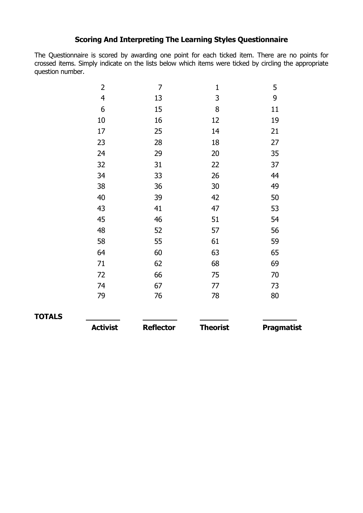## **Scoring And Interpreting The Learning Styles Questionnaire**

The Questionnaire is scored by awarding one point for each ticked item. There are no points for crossed items. Simply indicate on the lists below which items were ticked by circling the appropriate question number.

| $\overline{2}$ | 7  | $\mathbf{1}$ | 5  |
|----------------|----|--------------|----|
| $\overline{4}$ | 13 | 3            | 9  |
| 6              | 15 | 8            | 11 |
| 10             | 16 | 12           | 19 |
| 17             | 25 | 14           | 21 |
| 23             | 28 | 18           | 27 |
| 24             | 29 | 20           | 35 |
| 32             | 31 | 22           | 37 |
| 34             | 33 | 26           | 44 |
| 38             | 36 | 30           | 49 |
| 40             | 39 | 42           | 50 |
| 43             | 41 | 47           | 53 |
| 45             | 46 | 51           | 54 |
| 48             | 52 | 57           | 56 |
| 58             | 55 | 61           | 59 |
| 64             | 60 | 63           | 65 |
| 71             | 62 | 68           | 69 |
| 72             | 66 | 75           | 70 |
| 74             | 67 | 77           | 73 |
| 79             | 76 | 78           | 80 |
|                |    |              |    |

#### **TOTALS**

| <b>Activist</b> | <b>Reflector</b> | <b>Theorist</b> | <b>Pragmatist</b> |
|-----------------|------------------|-----------------|-------------------|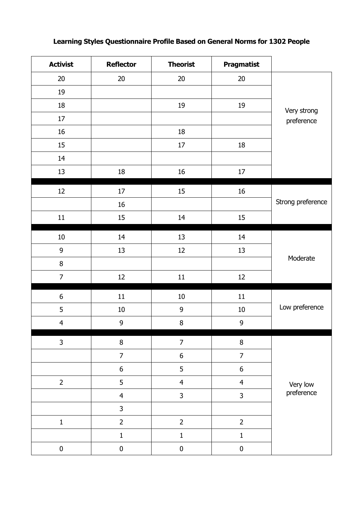|                   | <b>Pragmatist</b> | <b>Theorist</b>  | <b>Reflector</b> | <b>Activist</b>  |
|-------------------|-------------------|------------------|------------------|------------------|
|                   | $20\,$            | $20\,$           | $20\,$           | $20\,$           |
|                   |                   |                  |                  | 19               |
| Very strong       | 19                | 19               |                  | $18\,$           |
| preference        |                   |                  |                  | 17               |
|                   |                   | $18\,$           |                  | 16               |
|                   | $18\,$            | $17 \,$          |                  | 15               |
|                   |                   |                  |                  | 14               |
|                   | $17\,$            | $16\,$           | $18\,$           | 13               |
|                   | 16                | 15               | $17\,$           | $12\,$           |
| Strong preference |                   |                  | 16               |                  |
|                   | 15                | 14               | 15               | $11\,$           |
|                   | 14                | $13\,$           | 14               | $10\,$           |
|                   | 13                | $12\,$           | 13               | $\boldsymbol{9}$ |
| Moderate          |                   |                  |                  | $\bf 8$          |
|                   | 12                | 11               | 12               | $\overline{7}$   |
|                   | $11\,$            | $10\,$           | $11\,$           | $\boldsymbol{6}$ |
| Low preference    | $10\,$            | 9                | $10\,$           | 5                |
|                   | $\mathsf 9$       | 8                | 9                | $\overline{4}$   |
|                   | $\bf 8$           | $\overline{7}$   | $\bf 8$          | $\mathsf{3}$     |
|                   | $\overline{7}$    | $\boldsymbol{6}$ | $\overline{7}$   |                  |
|                   | $\boldsymbol{6}$  | 5                | $\boldsymbol{6}$ |                  |
| Very low          | $\overline{4}$    | $\overline{4}$   | 5                | $\overline{2}$   |
| preference        | 3                 | 3                | $\overline{4}$   |                  |
|                   |                   |                  | 3                |                  |
|                   | $\overline{2}$    | $\overline{2}$   | $\overline{2}$   | $\mathbf 1$      |
|                   | $\mathbf 1$       | $\mathbf 1$      | $\mathbf{1}$     |                  |
|                   | $\pmb{0}$         | $\pmb{0}$        | $\pmb{0}$        | ${\bf 0}$        |

## **Learning Styles Questionnaire Profile Based on General Norms for 1302 People**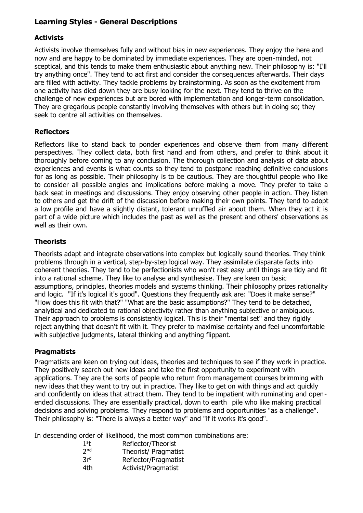## **Learning Styles - General Descriptions**

### **Activists**

Activists involve themselves fully and without bias in new experiences. They enjoy the here and now and are happy to be dominated by immediate experiences. They are open-minded, not sceptical, and this tends to make them enthusiastic about anything new. Their philosophy is: "I'll try anything once". They tend to act first and consider the consequences afterwards. Their days are filled with activity. They tackle problems by brainstorming. As soon as the excitement from one activity has died down they are busy looking for the next. They tend to thrive on the challenge of new experiences but are bored with implementation and longer-term consolidation. They are gregarious people constantly involving themselves with others but in doing so; they seek to centre all activities on themselves.

## **Reflectors**

Reflectors like to stand back to ponder experiences and observe them from many different perspectives. They collect data, both first hand and from others, and prefer to think about it thoroughly before coming to any conclusion. The thorough collection and analysis of data about experiences and events is what counts so they tend to postpone reaching definitive conclusions for as long as possible. Their philosophy is to be cautious. They are thoughtful people who like to consider all possible angles and implications before making a move. They prefer to take a back seat in meetings and discussions. They enjoy observing other people in action. They listen to others and get the drift of the discussion before making their own points. They tend to adopt a low profile and have a slightly distant, tolerant unruffled air about them. When they act it is part of a wide picture which includes the past as well as the present and others' observations as well as their own.

## **Theorists**

Theorists adapt and integrate observations into complex but logically sound theories. They think problems through in a vertical, step-by-step logical way. They assimilate disparate facts into coherent theories. They tend to be perfectionists who won't rest easy until things are tidy and fit into a rational scheme. They like to analyse and synthesise. They are keen on basic assumptions, principles, theories models and systems thinking. Their philosophy prizes rationality and logic. "If it's logical it's good". Questions they frequently ask are: "Does it make sense?" "How does this fit with that?" "What are the basic assumptions?" They tend to be detached, analytical and dedicated to rational objectivity rather than anything subjective or ambiguous. Their approach to problems is consistently logical. This is their "mental set" and they rigidly reject anything that doesn't fit with it. They prefer to maximise certainty and feel uncomfortable with subjective judgments, lateral thinking and anything flippant.

#### **Pragmatists**

Pragmatists are keen on trying out ideas, theories and techniques to see if they work in practice. They positively search out new ideas and take the first opportunity to experiment with applications. They are the sorts of people who return from management courses brimming with new ideas that they want to try out in practice. They like to get on with things and act quickly and confidently on ideas that attract them. They tend to be impatient with ruminating and openended discussions. They are essentially practical, down to earth pile who like making practical decisions and solving problems. They respond to problems and opportunities "as a challenge". Their philosophy is: "There is always a better way" and "if it works it's good".

In descending order of likelihood, the most common combinations are:

| $1$ <sup>s</sup> t | Reflector/Theorist   |
|--------------------|----------------------|
| 2 <sup>nd</sup>    | Theorist/ Pragmatist |
| 3r <sup>d</sup>    | Reflector/Pragmatist |
| 4th                | Activist/Pragmatist  |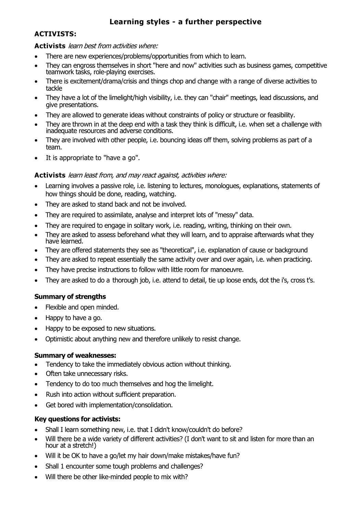## **Learning styles - a further perspective**

## **ACTIVISTS:**

#### **Activists** learn best from activities where:

- There are new experiences/problems/opportunities from which to learn.
- They can engross themselves in short "here and now" activities such as business games, competitive teamwork tasks, role-playing exercises.
- There is excitement/drama/crisis and things chop and change with a range of diverse activities to tackle
- They have a lot of the limelight/high visibility, i.e. they can "chair" meetings, lead discussions, and give presentations.
- They are allowed to generate ideas without constraints of policy or structure or feasibility.
- They are thrown in at the deep end with a task they think is difficult, i.e. when set a challenge with inadequate resources and adverse conditions.
- They are involved with other people, i.e. bouncing ideas off them, solving problems as part of a team.
- It is appropriate to "have a go".

#### **Activists** learn least from, and may react against, activities where:

- Learning involves a passive role, i.e. listening to lectures, monologues, explanations, statements of how things should be done, reading, watching.
- They are asked to stand back and not be involved.
- They are required to assimilate, analyse and interpret lots of "messy" data.
- They are required to engage in solitary work, i.e. reading, writing, thinking on their own.
- They are asked to assess beforehand what they will learn, and to appraise afterwards what they have learned.
- They are offered statements they see as "theoretical", i.e. explanation of cause or background
- They are asked to repeat essentially the same activity over and over again, i.e. when practicing.
- They have precise instructions to follow with little room for manoeuvre.
- They are asked to do a thorough job, i.e. attend to detail, tie up loose ends, dot the i's, cross t's.

#### **Summary of strengths**

- Flexible and open minded.
- Happy to have a go.
- Happy to be exposed to new situations.
- Optimistic about anything new and therefore unlikely to resist change.

#### **Summary of weaknesses:**

- Tendency to take the immediately obvious action without thinking.
- Often take unnecessary risks.
- Tendency to do too much themselves and hog the limelight.
- Rush into action without sufficient preparation.
- Get bored with implementation/consolidation.

#### **Key questions for activists:**

- Shall I learn something new, i.e. that I didn't know/couldn't do before?
- Will there be a wide variety of different activities? (I don't want to sit and listen for more than an hour at a stretch!)
- Will it be OK to have a go/let my hair down/make mistakes/have fun?
- Shall 1 encounter some tough problems and challenges?
- Will there be other like-minded people to mix with?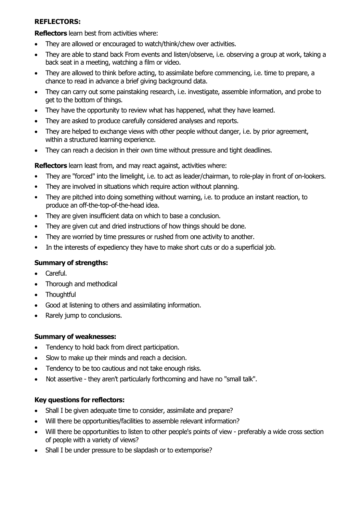#### **REFLECTORS:**

**Reflectors** learn best from activities where:

- They are allowed or encouraged to watch/think/chew over activities.
- They are able to stand back From events and listen/observe, i.e. observing a group at work, taking a back seat in a meeting, watching a film or video.
- They are allowed to think before acting, to assimilate before commencing, i.e. time to prepare, a chance to read in advance a brief giving background data.
- They can carry out some painstaking research, i.e. investigate, assemble information, and probe to get to the bottom of things.
- They have the opportunity to review what has happened, what they have learned.
- They are asked to produce carefully considered analyses and reports.
- They are helped to exchange views with other people without danger, i.e. by prior agreement, within a structured learning experience.
- They can reach a decision in their own time without pressure and tight deadlines.

**Reflectors** learn least from, and may react against, activities where:

- They are "forced" into the limelight, i.e. to act as leader/chairman, to role-play in front of on-lookers.
- They are involved in situations which require action without planning.
- They are pitched into doing something without warning, i.e. to produce an instant reaction, to produce an off-the-top-of-the-head idea.
- They are given insufficient data on which to base a conclusion.
- They are given cut and dried instructions of how things should be done.
- They are worried by time pressures or rushed from one activity to another.
- In the interests of expediency they have to make short cuts or do a superficial job.

#### **Summary of strengths:**

- Careful.
- Thorough and methodical
- **Thoughtful**
- Good at listening to others and assimilating information.
- Rarely jump to conclusions.

#### **Summary of weaknesses:**

- Tendency to hold back from direct participation.
- Slow to make up their minds and reach a decision.
- Tendency to be too cautious and not take enough risks.
- Not assertive they aren't particularly forthcoming and have no "small talk".

## **Key questions for reflectors:**

- Shall I be given adequate time to consider, assimilate and prepare?
- Will there be opportunities/facilities to assemble relevant information?
- Will there be opportunities to listen to other people's points of view preferably a wide cross section of people with a variety of views?
- Shall I be under pressure to be slapdash or to extemporise?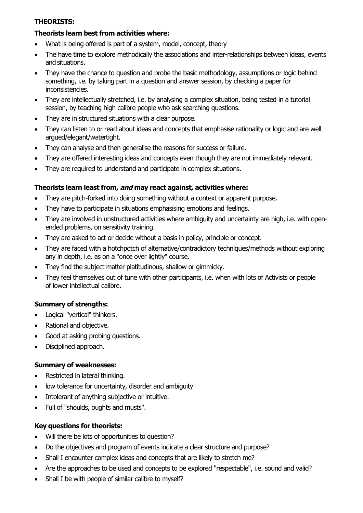#### **THEORISTS:**

#### **Theorists learn best from activities where:**

- What is being offered is part of a system, model, concept, theory
- The have time to explore methodically the associations and inter-relationships between ideas, events and situations.
- They have the chance to question and probe the basic methodology, assumptions or logic behind something, i.e. by taking part in a question and answer session, by checking a paper for inconsistencies.
- They are intellectually stretched, i.e. by analysing a complex situation, being tested in a tutorial session, by teaching high calibre people who ask searching questions.
- They are in structured situations with a clear purpose.
- They can listen to or read about ideas and concepts that emphasise rationality or logic and are well argued/elegant/watertight.
- They can analyse and then generalise the reasons for success or failure.
- They are offered interesting ideas and concepts even though they are not immediately relevant.
- They are required to understand and participate in complex situations.

## **Theorists learn least from, and may react against, activities where:**

- They are pitch-forked into doing something without a context or apparent purpose.
- They have to participate in situations emphasising emotions and feelings.
- They are involved in unstructured activities where ambiguity and uncertainty are high, i.e. with openended problems, on sensitivity training.
- They are asked to act or decide without a basis in policy, principle or concept.
- They are faced with a hotchpotch of alternative/contradictory techniques/methods without exploring any in depth, i.e. as on a "once over lightly" course.
- They find the subject matter platitudinous, shallow or gimmicky.
- They feel themselves out of tune with other participants, i.e. when with lots of Activists or people of lower intellectual calibre.

## **Summary of strengths:**

- Logical "vertical" thinkers.
- Rational and objective.
- Good at asking probing questions.
- Disciplined approach.

#### **Summary of weaknesses:**

- Restricted in lateral thinking.
- low tolerance for uncertainty, disorder and ambiguity
- Intolerant of anything subjective or intuitive.
- Full of "shoulds, oughts and musts".

## **Key questions for theorists:**

- Will there be lots of opportunities to question?
- Do the objectives and program of events indicate a clear structure and purpose?
- Shall I encounter complex ideas and concepts that are likely to stretch me?
- Are the approaches to be used and concepts to be explored "respectable", i.e. sound and valid?
- Shall I be with people of similar calibre to myself?